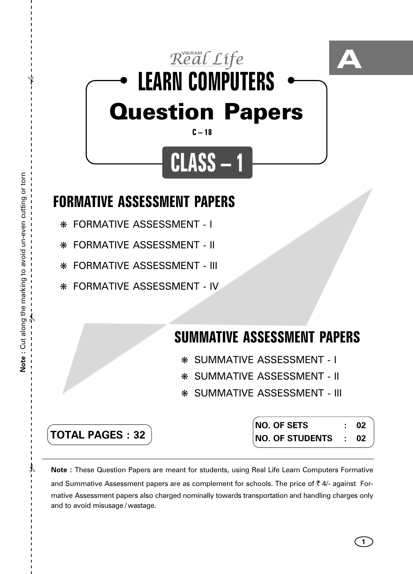

## **FORMATIVE ASSESSMENT PAPERS**

- ❋ FORMATIVE ASSESSMENT I
- ❋ FORMATIVE ASSESSMENT II
- ❋ FORMATIVE ASSESSMENT III
- ❋ FORMATIVE ASSESSMENT IV

## **SUMMATIVE ASSESSMENT PAPERS**

- ❋ SUMMATIVE ASSESSMENT I
- ❋ SUMMATIVE ASSESSMENT II
- ❋ SUMMATIVE ASSESSMENT III

**TOTAL PAGES : 32**

**NO. OF SETS : 02 NO. OF STUDENTS : 02**

**1**

**Note :** These Question Papers are meant for students, using Real Life Learn Computers Formative and Summative Assessment papers are as complement for schools. The price of  $\bar{\tau}$  4/- against Formative Assessment papers also charged nominally towards transportation and handling charges only and to avoid misusage / wastage.

 $\lambda$ 

✃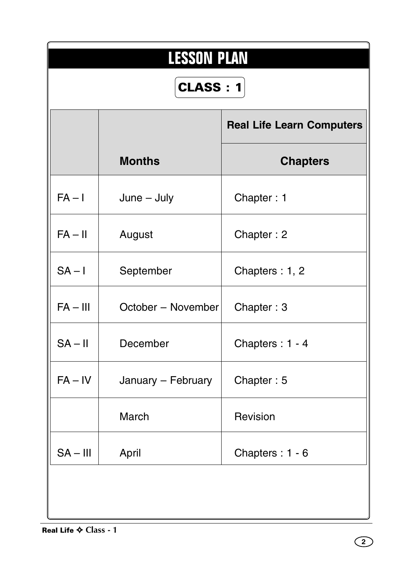| <b>LESSON PLAN</b> |                    |                                  |  |  |  |  |  |  |  |
|--------------------|--------------------|----------------------------------|--|--|--|--|--|--|--|
| <b>CLASS: 1</b>    |                    |                                  |  |  |  |  |  |  |  |
|                    |                    | <b>Real Life Learn Computers</b> |  |  |  |  |  |  |  |
|                    | <b>Months</b>      | <b>Chapters</b>                  |  |  |  |  |  |  |  |
| $FA - I$           | $June - July$      | Chapter: 1                       |  |  |  |  |  |  |  |
| $FA - II$          | August             | Chapter: 2                       |  |  |  |  |  |  |  |
| $SA - I$           | September          | Chapters: 1, 2                   |  |  |  |  |  |  |  |
| $FA - III$         | October - November | Chapter: 3                       |  |  |  |  |  |  |  |
| $SA - II$          | December           | Chapters: 1 - 4                  |  |  |  |  |  |  |  |
| $FA - IV$          | January - February | Chapter: 5                       |  |  |  |  |  |  |  |
|                    | March              | Revision                         |  |  |  |  |  |  |  |
| $SA - III$         | April              | Chapters: 1 - 6                  |  |  |  |  |  |  |  |
|                    |                    |                                  |  |  |  |  |  |  |  |
|                    |                    |                                  |  |  |  |  |  |  |  |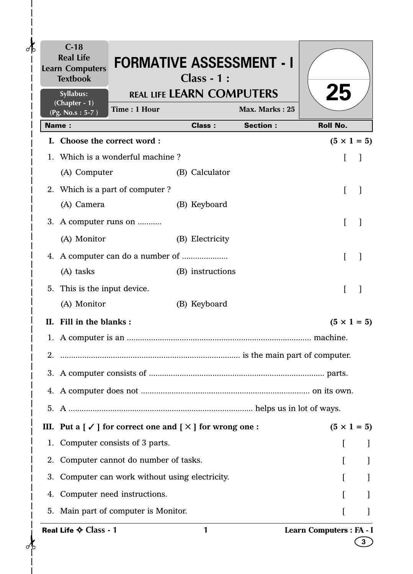|               | $C-18$<br><b>Real Life</b><br><b>Learn Computers</b><br><b>Textbook</b> | <b>FORMATIVE ASSESSMENT - I</b>                                                                      | <b>Class - 1:</b>                |                 |                          |                    |
|---------------|-------------------------------------------------------------------------|------------------------------------------------------------------------------------------------------|----------------------------------|-----------------|--------------------------|--------------------|
|               | Syllabus:<br>(Chapter - 1)                                              |                                                                                                      | <b>REAL LIFE LEARN COMPUTERS</b> |                 | 25                       |                    |
|               | (Pg. No.s: 5-7)                                                         | Time: 1 Hour                                                                                         |                                  | Max. Marks: 25  |                          |                    |
| <b>Name:</b>  |                                                                         | I. Choose the correct word:                                                                          | <b>Class:</b>                    | <b>Section:</b> | <b>Roll No.</b>          |                    |
|               |                                                                         | 1. Which is a wonderful machine?                                                                     |                                  |                 |                          | $(5 \times 1 = 5)$ |
|               | (A) Computer                                                            |                                                                                                      | (B) Calculator                   |                 | I                        |                    |
|               |                                                                         | 2. Which is a part of computer?                                                                      |                                  |                 | L                        |                    |
|               | (A) Camera                                                              |                                                                                                      | (B) Keyboard                     |                 |                          |                    |
|               |                                                                         | 3. A computer runs on                                                                                |                                  |                 | L                        | -1                 |
|               | (A) Monitor                                                             |                                                                                                      | (B) Electricity                  |                 |                          |                    |
|               |                                                                         |                                                                                                      |                                  |                 | L                        | -1                 |
|               | (A) tasks                                                               |                                                                                                      | (B) instructions                 |                 |                          |                    |
| 5.            | This is the input device.                                               |                                                                                                      |                                  |                 |                          |                    |
|               | (A) Monitor                                                             |                                                                                                      | (B) Keyboard                     |                 |                          |                    |
|               | II. Fill in the blanks:                                                 |                                                                                                      |                                  |                 |                          | $(5 \times 1 = 5)$ |
|               |                                                                         |                                                                                                      |                                  |                 |                          |                    |
| $\mathcal{P}$ |                                                                         |                                                                                                      |                                  |                 |                          |                    |
|               |                                                                         |                                                                                                      |                                  |                 |                          |                    |
|               |                                                                         |                                                                                                      |                                  |                 |                          |                    |
|               |                                                                         |                                                                                                      |                                  |                 |                          |                    |
|               |                                                                         | III. Put a $\lceil \checkmark \rceil$ for correct one and $\lceil \checkmark \rceil$ for wrong one : |                                  |                 |                          | $(5 \times 1 = 5)$ |
|               |                                                                         | 1. Computer consists of 3 parts.                                                                     |                                  |                 |                          |                    |
|               |                                                                         | 2. Computer cannot do number of tasks.                                                               |                                  |                 |                          |                    |
|               |                                                                         | 3. Computer can work without using electricity.                                                      |                                  |                 |                          |                    |
| 4.            |                                                                         | Computer need instructions.                                                                          |                                  |                 |                          |                    |
|               |                                                                         | 5. Main part of computer is Monitor.                                                                 |                                  |                 |                          |                    |
|               | Real Life ♦ Class - 1                                                   |                                                                                                      | 1                                |                 | Learn Computers : FA - I | 3                  |

 $\mathbf{I}$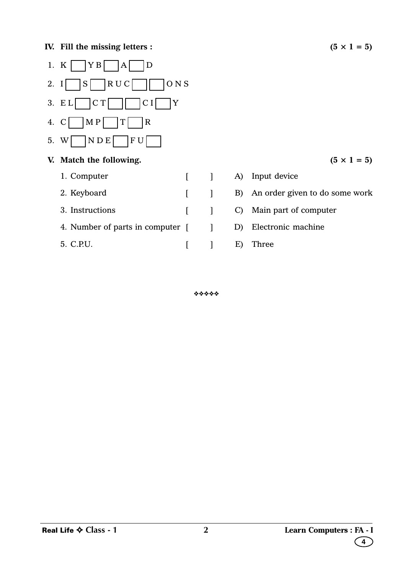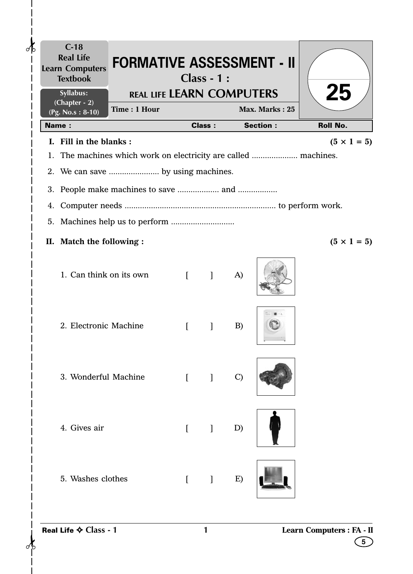| $C-18$<br><b>Real Life</b><br><b>FORMATIVE ASSESSMENT - II</b><br><b>Learn Computers</b><br><b>Textbook</b> |                                  | $Class - 1:$                          |               |                 |                                |
|-------------------------------------------------------------------------------------------------------------|----------------------------------|---------------------------------------|---------------|-----------------|--------------------------------|
| Syllabus:<br>$(Chapter - 2)$<br>Time: 1 Hour<br>$(Pg. No.s: 8-10)$                                          | <b>REAL LIFE LEARN COMPUTERS</b> |                                       |               | Max. Marks: 25  | 25                             |
| <b>Name:</b>                                                                                                |                                  | <b>Class:</b>                         |               | <b>Section:</b> | <b>Roll No.</b>                |
| I. Fill in the blanks:                                                                                      |                                  |                                       |               |                 | $(5 \times 1 = 5)$             |
| 1. The machines which work on electricity are called  machines.                                             |                                  |                                       |               |                 |                                |
| 2. We can save  by using machines.                                                                          |                                  |                                       |               |                 |                                |
|                                                                                                             |                                  |                                       |               |                 |                                |
| 4.                                                                                                          |                                  |                                       |               |                 |                                |
|                                                                                                             |                                  |                                       |               |                 |                                |
| II. Match the following :                                                                                   |                                  |                                       |               |                 | $(5 \times 1 = 5)$             |
| 1. Can think on its own                                                                                     | $\lceil$                         | $\sim$ 1                              | A)            |                 |                                |
| 2. Electronic Machine                                                                                       | $\sqrt{ }$                       | 1                                     | B)            |                 |                                |
| 3. Wonderful Machine                                                                                        |                                  | $\begin{bmatrix} 1 & 1 \end{bmatrix}$ | $\mathcal{C}$ |                 |                                |
| 4. Gives air                                                                                                |                                  | $[$ $]$                               | D)            |                 |                                |
| 5. Washes clothes                                                                                           | $\overline{[}$                   | $\blacksquare$                        | E)            |                 |                                |
| Real Life ♦ Class - 1                                                                                       |                                  | 1                                     |               |                 | Learn Computers : FA - II<br>5 |

 $\vert$  $\begin{array}{c} \rule{0pt}{2ex} \rule{0pt}{2ex} \rule{0pt}{2ex} \rule{0pt}{2ex} \rule{0pt}{2ex} \rule{0pt}{2ex} \rule{0pt}{2ex} \rule{0pt}{2ex} \rule{0pt}{2ex} \rule{0pt}{2ex} \rule{0pt}{2ex} \rule{0pt}{2ex} \rule{0pt}{2ex} \rule{0pt}{2ex} \rule{0pt}{2ex} \rule{0pt}{2ex} \rule{0pt}{2ex} \rule{0pt}{2ex} \rule{0pt}{2ex} \rule{0pt}{2ex} \rule{0pt}{2ex} \rule{0pt}{2ex} \rule{0pt}{2ex} \rule{0pt}{$  $\begin{array}{c} \end{array}$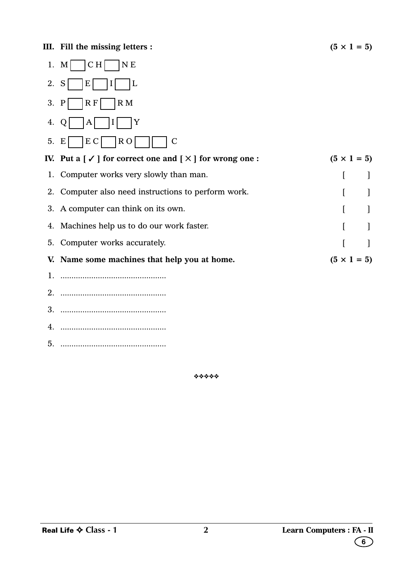|    | CH<br>N <sub>E</sub><br>1. $M$                                               |                    |
|----|------------------------------------------------------------------------------|--------------------|
| 2. | S<br>E<br>L                                                                  |                    |
| 3. | R F<br>$\overline{R}$ M<br>$\mathbf{P}$                                      |                    |
| 4. | Y<br>Q<br>A                                                                  |                    |
| 5. | E C<br>R <sub>O</sub><br>E<br>$\mathsf{C}$                                   |                    |
|    | IV. Put a $[\checkmark]$ for correct one and $[\checktimes]$ for wrong one : | $(5 \times 1 = 5)$ |
|    | 1. Computer works very slowly than man.                                      |                    |
|    | 2. Computer also need instructions to perform work.                          |                    |
|    | 3. A computer can think on its own.                                          |                    |
|    | 4. Machines help us to do our work faster.                                   |                    |
|    | 5. Computer works accurately.                                                | 1                  |
|    | V. Name some machines that help you at home.                                 | $(5 \times 1 = 5)$ |
| 1. |                                                                              |                    |
|    |                                                                              |                    |
|    |                                                                              |                    |
| 4. |                                                                              |                    |
| 5. |                                                                              |                    |

❖❖❖❖❖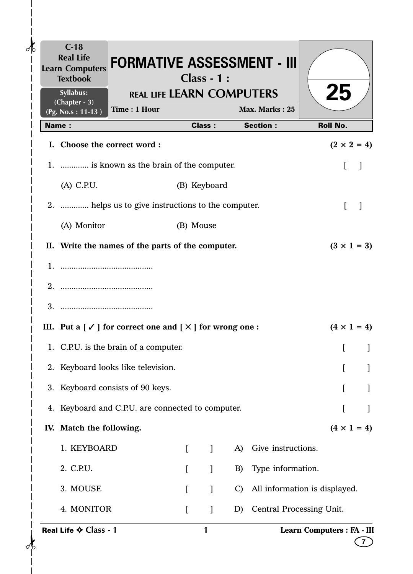| $C-18$<br><b>Real Life</b><br><b>Learn Computers</b><br><b>Textbook</b> | <b>FORMATIVE ASSESSMENT - III</b>                                                                  |                  | <b>Class - 1:</b> |               |                                   |                               |  |
|-------------------------------------------------------------------------|----------------------------------------------------------------------------------------------------|------------------|-------------------|---------------|-----------------------------------|-------------------------------|--|
| Syllabus:<br>(Chapter - 3)                                              | <b>REAL LIFE LEARN COMPUTERS</b>                                                                   |                  |                   |               |                                   | 25                            |  |
| (Pg. No.s: 11-13)<br><b>Name:</b>                                       | Time: 1 Hour                                                                                       |                  | <b>Class:</b>     |               | Max. Marks: 25<br><b>Section:</b> | <b>Roll No.</b>               |  |
|                                                                         | I. Choose the correct word:                                                                        |                  |                   |               |                                   | $(2 \times 2 = 4)$            |  |
|                                                                         | 1.  is known as the brain of the computer.                                                         |                  |                   |               |                                   | ſ                             |  |
| $(A)$ C.P.U.                                                            |                                                                                                    |                  | (B) Keyboard      |               |                                   |                               |  |
|                                                                         | 2.  helps us to give instructions to the computer.                                                 |                  |                   |               |                                   | L                             |  |
| (A) Monitor                                                             |                                                                                                    |                  | (B) Mouse         |               |                                   |                               |  |
|                                                                         | II. Write the names of the parts of the computer.                                                  |                  |                   |               |                                   | $(3 \times 1 = 3)$            |  |
|                                                                         |                                                                                                    |                  |                   |               |                                   |                               |  |
|                                                                         |                                                                                                    |                  |                   |               |                                   |                               |  |
|                                                                         |                                                                                                    |                  |                   |               |                                   |                               |  |
|                                                                         | III. Put a $\lceil \sqrt{\ } \rceil$ for correct one and $\lceil \sqrt{\ } \rceil$ for wrong one : |                  |                   |               |                                   | $(4 \times 1 = 4)$            |  |
|                                                                         | 1. C.P.U. is the brain of a computer.                                                              |                  |                   |               |                                   |                               |  |
|                                                                         | 2. Keyboard looks like television.                                                                 |                  |                   |               |                                   |                               |  |
|                                                                         | 3. Keyboard consists of 90 keys.                                                                   |                  |                   |               |                                   |                               |  |
|                                                                         | 4. Keyboard and C.P.U. are connected to computer.                                                  |                  |                   |               |                                   |                               |  |
| IV. Match the following.                                                |                                                                                                    |                  |                   |               |                                   | $(4 \times 1 = 4)$            |  |
| 1. KEYBOARD                                                             |                                                                                                    | $\Gamma$         | $\mathbf{I}$      | A)            | Give instructions.                |                               |  |
| 2. C.P.U.                                                               |                                                                                                    | $\left[ \right]$ | $\mathbf{I}$      | B)            | Type information.                 |                               |  |
| 3. MOUSE                                                                |                                                                                                    |                  |                   | $\mathcal{C}$ |                                   | All information is displayed. |  |
| 4. MONITOR                                                              |                                                                                                    | $\Gamma$         | 1                 | D)            | Central Processing Unit.          |                               |  |
| Real Life ♦ Class - 1                                                   |                                                                                                    |                  | 1                 |               |                                   | Learn Computers : FA - III    |  |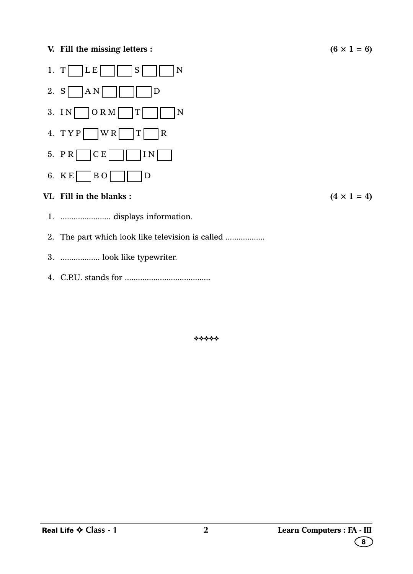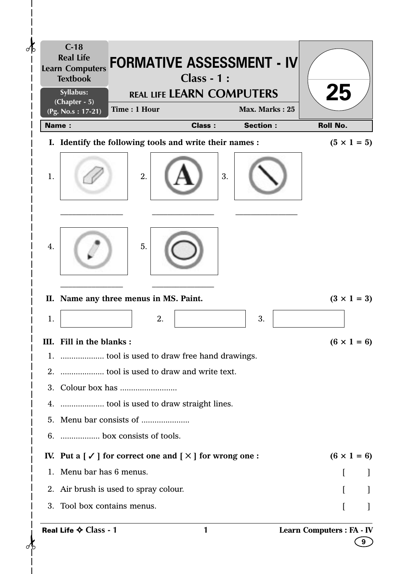

Real Life ✧ **Class - 1**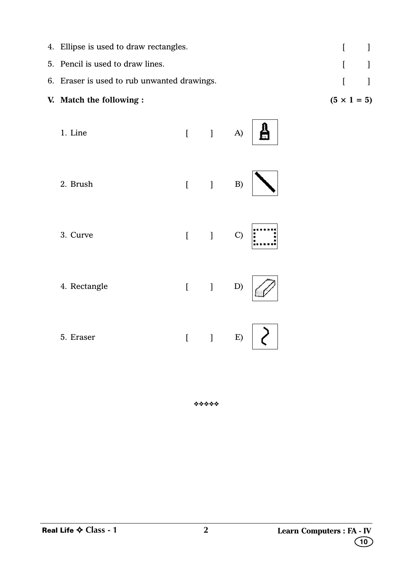| V. Match the following :                    | $(5 \times 1 = 5)$                    |  |
|---------------------------------------------|---------------------------------------|--|
| 6. Eraser is used to rub unwanted drawings. | $\mathbf{I}$ and $\mathbf{I}$         |  |
| 5. Pencil is used to draw lines.            | $\begin{bmatrix} 1 & 1 \end{bmatrix}$ |  |
| 4. Ellipse is used to draw rectangles.      | $\begin{bmatrix} 1 & 1 \end{bmatrix}$ |  |

| 1. Line      |                |                               |                     |
|--------------|----------------|-------------------------------|---------------------|
| 2. Brush     |                | $[$ $]$ $B)$                  |                     |
| 3. Curve     |                | $[$ $]$ $C)$                  | ×                   |
| 4. Rectangle |                | $[ \qquad \qquad ] \qquad D)$ |                     |
| 5. Eraser    | $\overline{[}$ |                               | $\left  \right $ E) |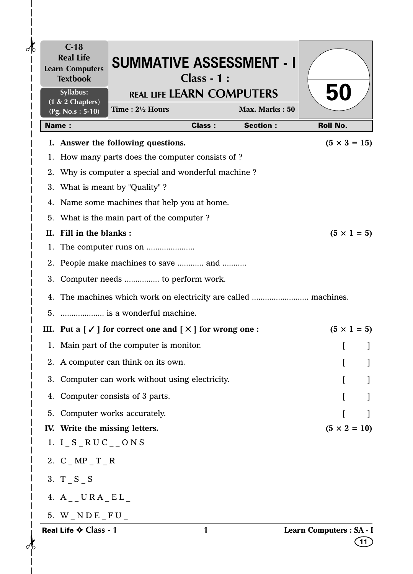| $\partial \mathbf{b}$ | $C-18$<br><b>Real Life</b><br><b>Learn Computers</b><br><b>Textbook</b> | <b>SUMMATIVE ASSESSMENT - I</b>                                                                    | $Class - 1:$  |                 |                                |
|-----------------------|-------------------------------------------------------------------------|----------------------------------------------------------------------------------------------------|---------------|-----------------|--------------------------------|
|                       | Syllabus:<br>$(1 & 2$ Chapters)                                         | <b>REAL LIFE LEARN COMPUTERS</b><br>Time: 21/2 Hours                                               |               | Max. Marks: 50  | 50                             |
|                       | (Pg. No.s: 5-10)<br><b>Name:</b>                                        |                                                                                                    | <b>Class:</b> | <b>Section:</b> | <b>Roll No.</b>                |
|                       |                                                                         | I. Answer the following questions.                                                                 |               |                 | $(5 \times 3 = 15)$            |
|                       |                                                                         | 1. How many parts does the computer consists of ?                                                  |               |                 |                                |
|                       |                                                                         | 2. Why is computer a special and wonderful machine?                                                |               |                 |                                |
|                       |                                                                         | 3. What is meant by "Quality"?                                                                     |               |                 |                                |
| 4.                    |                                                                         | Name some machines that help you at home.                                                          |               |                 |                                |
|                       |                                                                         | 5. What is the main part of the computer?                                                          |               |                 |                                |
| П.                    | Fill in the blanks:                                                     |                                                                                                    |               |                 | $(5 \times 1 = 5)$             |
|                       |                                                                         |                                                                                                    |               |                 |                                |
|                       |                                                                         | 2. People make machines to save  and                                                               |               |                 |                                |
|                       |                                                                         | 3. Computer needs  to perform work.                                                                |               |                 |                                |
|                       |                                                                         | 4. The machines which work on electricity are called  machines.                                    |               |                 |                                |
|                       |                                                                         | 5.  is a wonderful machine.                                                                        |               |                 |                                |
|                       |                                                                         | III. Put a $\lceil \sqrt{\ } \rceil$ for correct one and $\lceil \sqrt{\ } \rceil$ for wrong one : |               |                 | $(5 \times 1 = 5)$             |
|                       |                                                                         | 1. Main part of the computer is monitor.                                                           |               |                 |                                |
|                       |                                                                         | 2. A computer can think on its own.                                                                |               |                 |                                |
|                       |                                                                         | 3. Computer can work without using electricity.                                                    |               |                 |                                |
| 4.                    |                                                                         | Computer consists of 3 parts.                                                                      |               |                 |                                |
|                       |                                                                         | 5. Computer works accurately.                                                                      |               |                 |                                |
|                       | IV. Write the missing letters.                                          |                                                                                                    |               |                 | $(5 \times 2 = 10)$            |
|                       | 1. $I_S_RUC_{--}$ ONS                                                   |                                                                                                    |               |                 |                                |
|                       | 2. $C_MPP_T_R$                                                          |                                                                                                    |               |                 |                                |
|                       | 3. $T_S_S$                                                              |                                                                                                    |               |                 |                                |
|                       | 4. $A_{--}$ URA $E L_{-}$                                               |                                                                                                    |               |                 |                                |
|                       | 5. $W_NDE_FU_$                                                          |                                                                                                    |               |                 |                                |
|                       | Real Life ♦ Class - 1                                                   |                                                                                                    | 1             |                 | Learn Computers : SA - I<br>11 |

 $\frac{1}{\sqrt{2}}$ 

 $\mathbf I$  $\overline{\phantom{a}}$  $\mathsf{l}$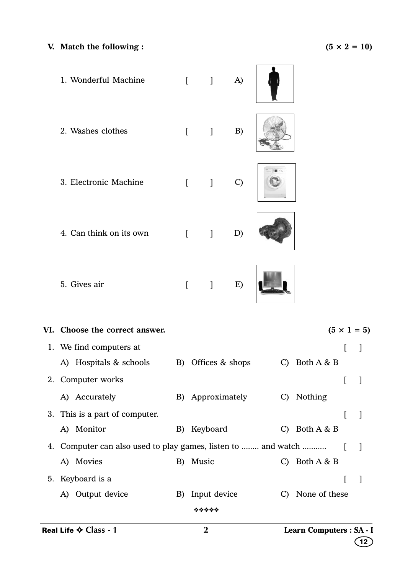## **V.** Match the following :  $(5 \times 2 = 10)$

1. Wonderful Machine [ ] A) 2. Washes clothes [ ] B) 3. Electronic Machine [ ] C) 4. Can think on its own [ ] D) 5. Gives air [ ] E) 

**VI.** Choose the correct answer.  $(5 \times 1 = 5)$ 1. We find computers at  $\begin{bmatrix} 1 \end{bmatrix}$ A) Hospitals & schools B) Offices & shops C) Both A & B 2. Computer works [ ] A) Accurately B) Approximately C) Nothing 3. This is a part of computer. A) Monitor B) Keyboard C) Both A & B 4. Computer can also used to play games, listen to ........ and watch ........... [ ] A) Movies B) Music C) Both A & B 5. Keyboard is a [ ] A) Output device B) Input device C) None of these ❖❖❖❖❖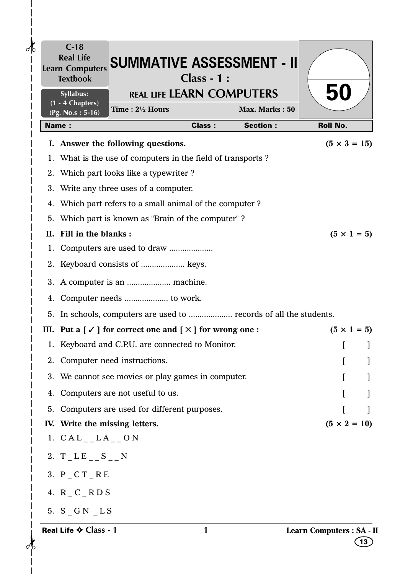| $C-18$<br>$\partial \mathbf{b}$<br><b>Textbook</b> | Learn Computers SUMMATIVE ASSESSMENT - II                                                       | $Class - 1:$  |                 |                                 |
|----------------------------------------------------|-------------------------------------------------------------------------------------------------|---------------|-----------------|---------------------------------|
| Syllabus:<br>(1 - 4 Chapters)                      | <b>REAL LIFE LEARN COMPUTERS</b>                                                                |               |                 | 50                              |
| (Pg. No.s: 5-16)                                   | Time: 21/2 Hours                                                                                |               | Max. Marks: 50  |                                 |
| <b>Name:</b>                                       |                                                                                                 | <b>Class:</b> | <b>Section:</b> | <b>Roll No.</b>                 |
|                                                    | I. Answer the following questions.                                                              |               |                 | $(5 \times 3 = 15)$             |
|                                                    | 1. What is the use of computers in the field of transports?                                     |               |                 |                                 |
| 2.                                                 | Which part looks like a typewriter?                                                             |               |                 |                                 |
| 3.                                                 | Write any three uses of a computer.                                                             |               |                 |                                 |
| 4.                                                 | Which part refers to a small animal of the computer?                                            |               |                 |                                 |
| 5.                                                 | Which part is known as "Brain of the computer"?                                                 |               |                 |                                 |
| Fill in the blanks:<br>П.                          |                                                                                                 |               |                 | $(5 \times 1 = 5)$              |
|                                                    |                                                                                                 |               |                 |                                 |
|                                                    | 2. Keyboard consists of  keys.                                                                  |               |                 |                                 |
|                                                    | 3. A computer is an  machine.                                                                   |               |                 |                                 |
| 4.                                                 |                                                                                                 |               |                 |                                 |
| 5.                                                 | In schools, computers are used to  records of all the students.                                 |               |                 |                                 |
| Ш.                                                 | Put a $\lceil \checkmark \rceil$ for correct one and $\lceil \checkmark \rceil$ for wrong one : |               |                 | $(5 \times 1 = 5)$              |
| 1.                                                 | Keyboard and C.P.U. are connected to Monitor.                                                   |               |                 |                                 |
|                                                    | 2. Computer need instructions.                                                                  |               |                 |                                 |
|                                                    | 3. We cannot see movies or play games in computer.                                              |               |                 |                                 |
| 4.                                                 | Computers are not useful to us.                                                                 |               |                 |                                 |
|                                                    | 5. Computers are used for different purposes.                                                   |               |                 |                                 |
| IV. Write the missing letters.                     |                                                                                                 |               |                 | $(5 \times 2 = 10)$             |
| 1. $CAL_{--}LA_{--}ON$                             |                                                                                                 |               |                 |                                 |
| 2. $T_L E_{--} S_{--} N$                           |                                                                                                 |               |                 |                                 |
| 3. $P_C T_R E$                                     |                                                                                                 |               |                 |                                 |
| 4. $R_C_R$                                         |                                                                                                 |               |                 |                                 |
| 5. S GN LS                                         |                                                                                                 |               |                 |                                 |
| Real Life $\diamond$ Class - 1                     |                                                                                                 | 1             |                 | Learn Computers : SA - II<br>13 |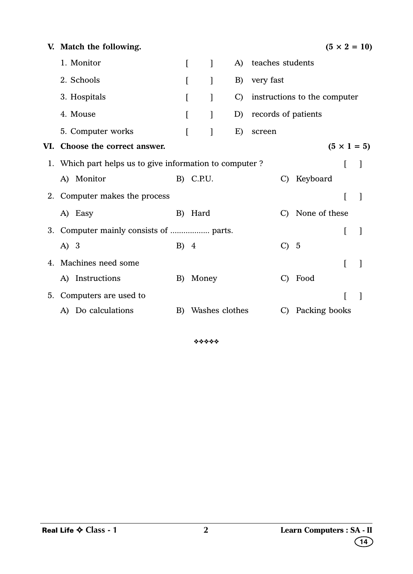| Match the following.           |          |        |                   |                     |                                                                           |             | $(5 \times 2 = 10)$                                     |
|--------------------------------|----------|--------|-------------------|---------------------|---------------------------------------------------------------------------|-------------|---------------------------------------------------------|
| 1. Monitor                     | $\Gamma$ | ]      | A)                | teaches students    |                                                                           |             |                                                         |
| 2. Schools                     | I        | 1      | B)                | very fast           |                                                                           |             |                                                         |
| 3. Hospitals                   |          | 1      | $\mathcal{C}$     |                     | instructions to the computer                                              |             |                                                         |
| 4. Mouse                       | L        | 1      | D)                | records of patients |                                                                           |             |                                                         |
| 5. Computer works              |          | L<br>1 | E)                | screen              |                                                                           |             |                                                         |
| VI. Choose the correct answer. |          |        |                   |                     |                                                                           |             |                                                         |
|                                |          |        |                   |                     |                                                                           |             |                                                         |
| A) Monitor                     |          |        |                   | C)                  | Keyboard                                                                  |             |                                                         |
| 2. Computer makes the process  |          |        |                   |                     |                                                                           | I           |                                                         |
| A) Easy                        | B)       | Hard   |                   |                     |                                                                           |             |                                                         |
|                                |          |        |                   |                     |                                                                           |             |                                                         |
| A) 3                           |          |        |                   | $\mathcal{C}$       |                                                                           |             |                                                         |
| Machines need some             |          |        |                   |                     |                                                                           | ſ           |                                                         |
| A) Instructions                | B)       | Money  |                   | $\mathcal{C}$       |                                                                           |             |                                                         |
| Computers are used to          |          |        |                   |                     |                                                                           |             |                                                         |
| A) Do calculations             | B)       |        |                   | $\mathcal{C}$       |                                                                           |             |                                                         |
|                                |          |        | B) C.P.U.<br>B) 4 |                     | 1. Which part helps us to give information to computer?<br>Washes clothes | - 5<br>Food | $(5 \times 1 = 5)$<br>C) None of these<br>Packing books |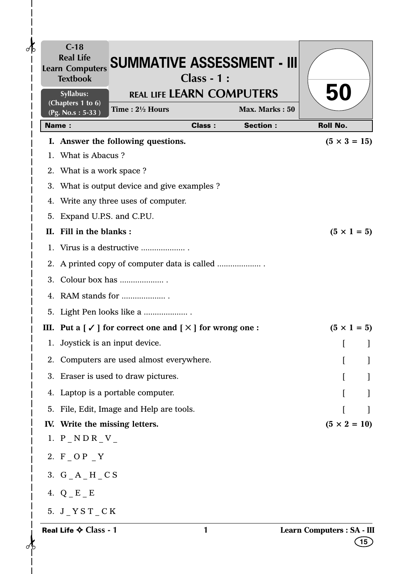| $\partial \mathbf{b}$ | $C-18$<br><b>Real Life</b><br><b>Learn Computers</b><br><b>Textbook</b> | <b>SUMMATIVE ASSESSMENT - III</b>                                                                  | $Class - 1:$  |                 |                                    |
|-----------------------|-------------------------------------------------------------------------|----------------------------------------------------------------------------------------------------|---------------|-----------------|------------------------------------|
|                       | Syllabus:<br>(Chapters 1 to 6)                                          | <b>REAL LIFE LEARN COMPUTERS</b>                                                                   |               |                 | 50                                 |
|                       | (Pg. No.s: 5-33)                                                        | Time: $2\frac{1}{2}$ Hours                                                                         |               | Max. Marks: 50  |                                    |
|                       | <b>Name:</b>                                                            |                                                                                                    | <b>Class:</b> | <b>Section:</b> | <b>Roll No.</b>                    |
|                       | 1. What is Abacus?                                                      | I. Answer the following questions.                                                                 |               |                 | $(5 \times 3 = 15)$                |
|                       | 2. What is a work space?                                                |                                                                                                    |               |                 |                                    |
|                       |                                                                         | 3. What is output device and give examples ?                                                       |               |                 |                                    |
|                       |                                                                         | 4. Write any three uses of computer.                                                               |               |                 |                                    |
|                       | 5. Expand U.P.S. and C.P.U.                                             |                                                                                                    |               |                 |                                    |
| Н.                    | Fill in the blanks:                                                     |                                                                                                    |               |                 | $(5 \times 1 = 5)$                 |
|                       |                                                                         | 1. Virus is a destructive                                                                          |               |                 |                                    |
|                       |                                                                         |                                                                                                    |               |                 |                                    |
|                       |                                                                         |                                                                                                    |               |                 |                                    |
|                       |                                                                         |                                                                                                    |               |                 |                                    |
|                       |                                                                         | 5. Light Pen looks like a                                                                          |               |                 |                                    |
|                       |                                                                         | III. Put a $\lceil \sqrt{\ } \rceil$ for correct one and $\lceil \sqrt{\ } \rceil$ for wrong one : |               |                 | $(5 \times 1 = 5)$                 |
|                       |                                                                         | 1. Joystick is an input device.                                                                    |               |                 |                                    |
|                       |                                                                         | 2. Computers are used almost everywhere.                                                           |               |                 |                                    |
|                       |                                                                         | 3. Eraser is used to draw pictures.                                                                |               |                 |                                    |
|                       |                                                                         | 4. Laptop is a portable computer.                                                                  |               |                 |                                    |
|                       |                                                                         | 5. File, Edit, Image and Help are tools.                                                           |               |                 |                                    |
|                       | IV. Write the missing letters.                                          |                                                                                                    |               |                 | $(5 \times 2 = 10)$                |
|                       | 1. $P_NDR_V$                                                            |                                                                                                    |               |                 |                                    |
|                       | 2. F _ O P _ Y                                                          |                                                                                                    |               |                 |                                    |
|                       | 3. $G_A_H_C$                                                            |                                                                                                    |               |                 |                                    |
|                       | 4. $Q$ $E$ $E$                                                          |                                                                                                    |               |                 |                                    |
|                       | 5. J $YST$ $CK$                                                         |                                                                                                    |               |                 |                                    |
|                       | Real Life ♦ Class - 1                                                   |                                                                                                    | 1             |                 | Learn Computers : SA - III<br>[15] |

 $\frac{1}{1}$ 

 $\mathbf{I}$  $\overline{\phantom{a}}$  $\overline{\phantom{a}}$  $\overline{\phantom{a}}$